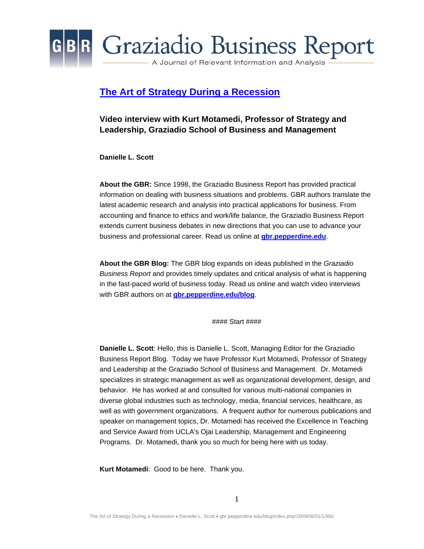

#### **[The Art of Strategy During a Recession](http://gbr.pepperdine.edu/blog/index.php/2009/08/31/1366/)**

#### **Video interview with Kurt Motamedi, Professor of Strategy and Leadership, Graziadio School of Business and Management**

**Danielle L. Scott** 

**About the GBR:** Since 1998, the Graziadio Business Report has provided practical information on dealing with business situations and problems. GBR authors translate the latest academic research and analysis into practical applications for business. From accounting and finance to ethics and work/life balance, the Graziadio Business Report extends current business debates in new directions that you can use to advance your business and professional career. Read us online at **[gbr.pepperdine.edu](http://gbr.pepperdine.edu/)**.

**About the GBR Blog:** The GBR blog expands on ideas published in the *Graziadio Business Report* and provides timely updates and critical analysis of what is happening in the fast-paced world of business today. Read us online and watch video interviews with GBR authors on at **[gbr.pepperdine.edu/blog](http://gbr.pepperdine.edu/blog)**.

#### Start ####

**Danielle L. Scott**: Hello, this is Danielle L. Scott, Managing Editor for the Graziadio Business Report Blog. Today we have Professor Kurt Motamedi, Professor of Strategy and Leadership at the Graziadio School of Business and Management. Dr. Motamedi specializes in strategic management as well as organizational development, design, and behavior. He has worked at and consulted for various multi-national companies in diverse global industries such as technology, media, financial services, healthcare, as well as with government organizations. A frequent author for numerous publications and speaker on management topics, Dr. Motamedi has received the Excellence in Teaching and Service Award from UCLA's Ojai Leadership, Management and Engineering Programs. Dr. Motamedi, thank you so much for being here with us today.

**Kurt Motamedi**: Good to be here. Thank you.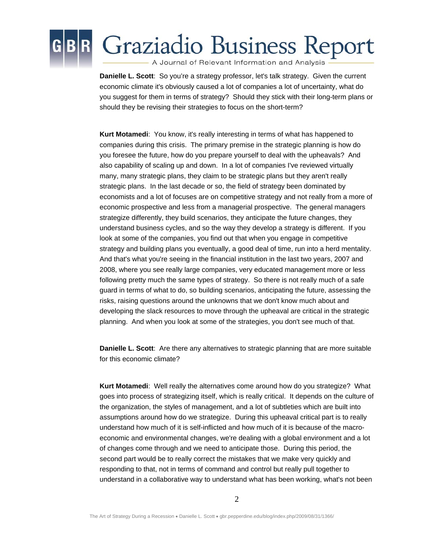

**Danielle L. Scott**: So you're a strategy professor, let's talk strategy. Given the current economic climate it's obviously caused a lot of companies a lot of uncertainty, what do you suggest for them in terms of strategy? Should they stick with their long-term plans or should they be revising their strategies to focus on the short-term?

**Kurt Motamedi**: You know, it's really interesting in terms of what has happened to companies during this crisis. The primary premise in the strategic planning is how do you foresee the future, how do you prepare yourself to deal with the upheavals? And also capability of scaling up and down. In a lot of companies I've reviewed virtually many, many strategic plans, they claim to be strategic plans but they aren't really strategic plans. In the last decade or so, the field of strategy been dominated by economists and a lot of focuses are on competitive strategy and not really from a more of economic prospective and less from a managerial prospective. The general managers strategize differently, they build scenarios, they anticipate the future changes, they understand business cycles, and so the way they develop a strategy is different. If you look at some of the companies, you find out that when you engage in competitive strategy and building plans you eventually, a good deal of time, run into a herd mentality. And that's what you're seeing in the financial institution in the last two years, 2007 and 2008, where you see really large companies, very educated management more or less following pretty much the same types of strategy. So there is not really much of a safe guard in terms of what to do, so building scenarios, anticipating the future, assessing the risks, raising questions around the unknowns that we don't know much about and developing the slack resources to move through the upheaval are critical in the strategic planning. And when you look at some of the strategies, you don't see much of that.

**Danielle L. Scott**: Are there any alternatives to strategic planning that are more suitable for this economic climate?

**Kurt Motamedi**: Well really the alternatives come around how do you strategize? What goes into process of strategizing itself, which is really critical. It depends on the culture of the organization, the styles of management, and a lot of subtleties which are built into assumptions around how do we strategize. During this upheaval critical part is to really understand how much of it is self-inflicted and how much of it is because of the macroeconomic and environmental changes, we're dealing with a global environment and a lot of changes come through and we need to anticipate those. During this period, the second part would be to really correct the mistakes that we make very quickly and responding to that, not in terms of command and control but really pull together to understand in a collaborative way to understand what has been working, what's not been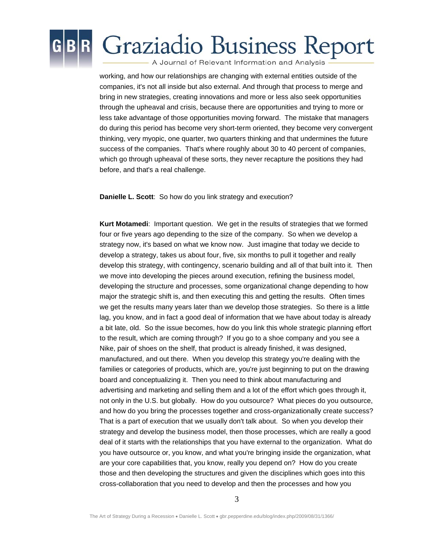

working, and how our relationships are changing with external entities outside of the companies, it's not all inside but also external. And through that process to merge and bring in new strategies, creating innovations and more or less also seek opportunities through the upheaval and crisis, because there are opportunities and trying to more or less take advantage of those opportunities moving forward. The mistake that managers do during this period has become very short-term oriented, they become very convergent thinking, very myopic, one quarter, two quarters thinking and that undermines the future success of the companies. That's where roughly about 30 to 40 percent of companies, which go through upheaval of these sorts, they never recapture the positions they had before, and that's a real challenge.

**Danielle L. Scott**: So how do you link strategy and execution?

**Kurt Motamedi**: Important question. We get in the results of strategies that we formed four or five years ago depending to the size of the company. So when we develop a strategy now, it's based on what we know now. Just imagine that today we decide to develop a strategy, takes us about four, five, six months to pull it together and really develop this strategy, with contingency, scenario building and all of that built into it. Then we move into developing the pieces around execution, refining the business model, developing the structure and processes, some organizational change depending to how major the strategic shift is, and then executing this and getting the results. Often times we get the results many years later than we develop those strategies. So there is a little lag, you know, and in fact a good deal of information that we have about today is already a bit late, old. So the issue becomes, how do you link this whole strategic planning effort to the result, which are coming through? If you go to a shoe company and you see a Nike, pair of shoes on the shelf, that product is already finished, it was designed, manufactured, and out there. When you develop this strategy you're dealing with the families or categories of products, which are, you're just beginning to put on the drawing board and conceptualizing it. Then you need to think about manufacturing and advertising and marketing and selling them and a lot of the effort which goes through it, not only in the U.S. but globally. How do you outsource? What pieces do you outsource, and how do you bring the processes together and cross-organizationally create success? That is a part of execution that we usually don't talk about. So when you develop their strategy and develop the business model, then those processes, which are really a good deal of it starts with the relationships that you have external to the organization. What do you have outsource or, you know, and what you're bringing inside the organization, what are your core capabilities that, you know, really you depend on? How do you create those and then developing the structures and given the disciplines which goes into this cross-collaboration that you need to develop and then the processes and how you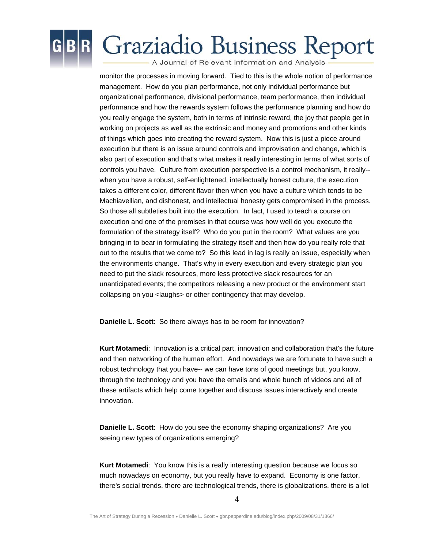

# **Graziadio Business Report**

A Journal of Relevant Information and Analysis

monitor the processes in moving forward. Tied to this is the whole notion of performance management. How do you plan performance, not only individual performance but organizational performance, divisional performance, team performance, then individual performance and how the rewards system follows the performance planning and how do you really engage the system, both in terms of intrinsic reward, the joy that people get in working on projects as well as the extrinsic and money and promotions and other kinds of things which goes into creating the reward system. Now this is just a piece around execution but there is an issue around controls and improvisation and change, which is also part of execution and that's what makes it really interesting in terms of what sorts of controls you have. Culture from execution perspective is a control mechanism, it really- when you have a robust, self-enlightened, intellectually honest culture, the execution takes a different color, different flavor then when you have a culture which tends to be Machiavellian, and dishonest, and intellectual honesty gets compromised in the process. So those all subtleties built into the execution. In fact, I used to teach a course on execution and one of the premises in that course was how well do you execute the formulation of the strategy itself? Who do you put in the room? What values are you bringing in to bear in formulating the strategy itself and then how do you really role that out to the results that we come to? So this lead in lag is really an issue, especially when the environments change. That's why in every execution and every strategic plan you need to put the slack resources, more less protective slack resources for an unanticipated events; the competitors releasing a new product or the environment start collapsing on you <laughs> or other contingency that may develop.

**Danielle L. Scott**: So there always has to be room for innovation?

**Kurt Motamedi**: Innovation is a critical part, innovation and collaboration that's the future and then networking of the human effort. And nowadays we are fortunate to have such a robust technology that you have-- we can have tons of good meetings but, you know, through the technology and you have the emails and whole bunch of videos and all of these artifacts which help come together and discuss issues interactively and create innovation.

**Danielle L. Scott**: How do you see the economy shaping organizations? Are you seeing new types of organizations emerging?

**Kurt Motamedi**: You know this is a really interesting question because we focus so much nowadays on economy, but you really have to expand. Economy is one factor, there's social trends, there are technological trends, there is globalizations, there is a lot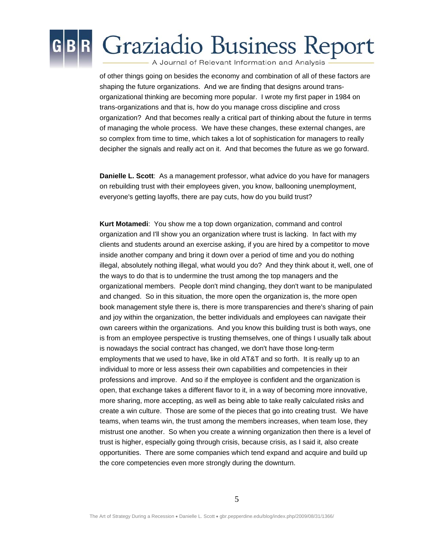

of other things going on besides the economy and combination of all of these factors are shaping the future organizations. And we are finding that designs around transorganizational thinking are becoming more popular. I wrote my first paper in 1984 on trans-organizations and that is, how do you manage cross discipline and cross organization? And that becomes really a critical part of thinking about the future in terms of managing the whole process. We have these changes, these external changes, are so complex from time to time, which takes a lot of sophistication for managers to really decipher the signals and really act on it. And that becomes the future as we go forward.

**Danielle L. Scott**: As a management professor, what advice do you have for managers on rebuilding trust with their employees given, you know, ballooning unemployment, everyone's getting layoffs, there are pay cuts, how do you build trust?

**Kurt Motamedi**: You show me a top down organization, command and control organization and I'll show you an organization where trust is lacking. In fact with my clients and students around an exercise asking, if you are hired by a competitor to move inside another company and bring it down over a period of time and you do nothing illegal, absolutely nothing illegal, what would you do? And they think about it, well, one of the ways to do that is to undermine the trust among the top managers and the organizational members. People don't mind changing, they don't want to be manipulated and changed. So in this situation, the more open the organization is, the more open book management style there is, there is more transparencies and there's sharing of pain and joy within the organization, the better individuals and employees can navigate their own careers within the organizations. And you know this building trust is both ways, one is from an employee perspective is trusting themselves, one of things I usually talk about is nowadays the social contract has changed, we don't have those long-term employments that we used to have, like in old AT&T and so forth. It is really up to an individual to more or less assess their own capabilities and competencies in their professions and improve. And so if the employee is confident and the organization is open, that exchange takes a different flavor to it, in a way of becoming more innovative, more sharing, more accepting, as well as being able to take really calculated risks and create a win culture. Those are some of the pieces that go into creating trust. We have teams, when teams win, the trust among the members increases, when team lose, they mistrust one another. So when you create a winning organization then there is a level of trust is higher, especially going through crisis, because crisis, as I said it, also create opportunities. There are some companies which tend expand and acquire and build up the core competencies even more strongly during the downturn.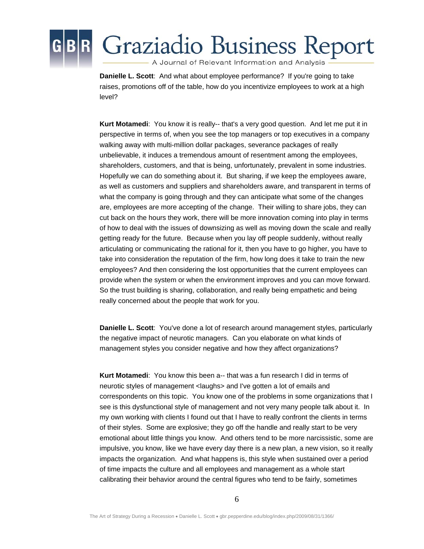

**Danielle L. Scott**: And what about employee performance? If you're going to take raises, promotions off of the table, how do you incentivize employees to work at a high level?

**Kurt Motamedi**: You know it is really-- that's a very good question. And let me put it in perspective in terms of, when you see the top managers or top executives in a company walking away with multi-million dollar packages, severance packages of really unbelievable, it induces a tremendous amount of resentment among the employees, shareholders, customers, and that is being, unfortunately, prevalent in some industries. Hopefully we can do something about it. But sharing, if we keep the employees aware, as well as customers and suppliers and shareholders aware, and transparent in terms of what the company is going through and they can anticipate what some of the changes are, employees are more accepting of the change. Their willing to share jobs, they can cut back on the hours they work, there will be more innovation coming into play in terms of how to deal with the issues of downsizing as well as moving down the scale and really getting ready for the future. Because when you lay off people suddenly, without really articulating or communicating the rational for it, then you have to go higher, you have to take into consideration the reputation of the firm, how long does it take to train the new employees? And then considering the lost opportunities that the current employees can provide when the system or when the environment improves and you can move forward. So the trust building is sharing, collaboration, and really being empathetic and being really concerned about the people that work for you.

**Danielle L. Scott**: You've done a lot of research around management styles, particularly the negative impact of neurotic managers. Can you elaborate on what kinds of management styles you consider negative and how they affect organizations?

**Kurt Motamedi**: You know this been a-- that was a fun research I did in terms of neurotic styles of management <laughs> and I've gotten a lot of emails and correspondents on this topic. You know one of the problems in some organizations that I see is this dysfunctional style of management and not very many people talk about it. In my own working with clients I found out that I have to really confront the clients in terms of their styles. Some are explosive; they go off the handle and really start to be very emotional about little things you know. And others tend to be more narcissistic, some are impulsive, you know, like we have every day there is a new plan, a new vision, so it really impacts the organization. And what happens is, this style when sustained over a period of time impacts the culture and all employees and management as a whole start calibrating their behavior around the central figures who tend to be fairly, sometimes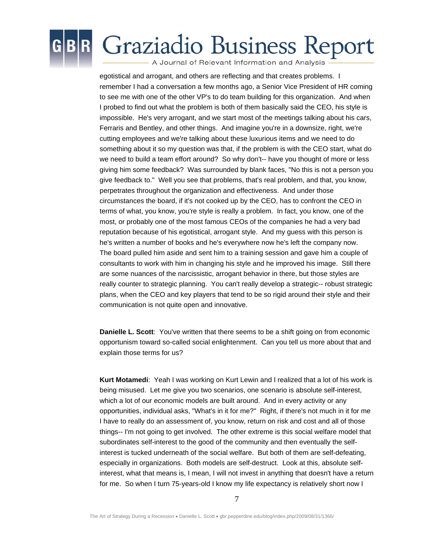

## **Graziadio Business Report**

A Journal of Relevant Information and Analysis

egotistical and arrogant, and others are reflecting and that creates problems. I remember I had a conversation a few months ago, a Senior Vice President of HR coming to see me with one of the other VP's to do team building for this organization. And when I probed to find out what the problem is both of them basically said the CEO, his style is impossible. He's very arrogant, and we start most of the meetings talking about his cars, Ferraris and Bentley, and other things. And imagine you're in a downsize, right, we're cutting employees and we're talking about these luxurious items and we need to do something about it so my question was that, if the problem is with the CEO start, what do we need to build a team effort around? So why don't-- have you thought of more or less giving him some feedback? Was surrounded by blank faces, "No this is not a person you give feedback to." Well you see that problems, that's real problem, and that, you know, perpetrates throughout the organization and effectiveness. And under those circumstances the board, if it's not cooked up by the CEO, has to confront the CEO in terms of what, you know, you're style is really a problem. In fact, you know, one of the most, or probably one of the most famous CEOs of the companies he had a very bad reputation because of his egotistical, arrogant style. And my guess with this person is he's written a number of books and he's everywhere now he's left the company now. The board pulled him aside and sent him to a training session and gave him a couple of consultants to work with him in changing his style and he improved his image. Still there are some nuances of the narcissistic, arrogant behavior in there, but those styles are really counter to strategic planning. You can't really develop a strategic-- robust strategic plans, when the CEO and key players that tend to be so rigid around their style and their communication is not quite open and innovative.

**Danielle L. Scott**: You've written that there seems to be a shift going on from economic opportunism toward so-called social enlightenment. Can you tell us more about that and explain those terms for us?

**Kurt Motamedi**: Yeah I was working on Kurt Lewin and I realized that a lot of his work is being misused. Let me give you two scenarios, one scenario is absolute self-interest, which a lot of our economic models are built around. And in every activity or any opportunities, individual asks, "What's in it for me?" Right, if there's not much in it for me I have to really do an assessment of, you know, return on risk and cost and all of those things-- I'm not going to get involved. The other extreme is this social welfare model that subordinates self-interest to the good of the community and then eventually the selfinterest is tucked underneath of the social welfare. But both of them are self-defeating, especially in organizations. Both models are self-destruct. Look at this, absolute selfinterest, what that means is, I mean, I will not invest in anything that doesn't have a return for me. So when I turn 75-years-old I know my life expectancy is relatively short now I